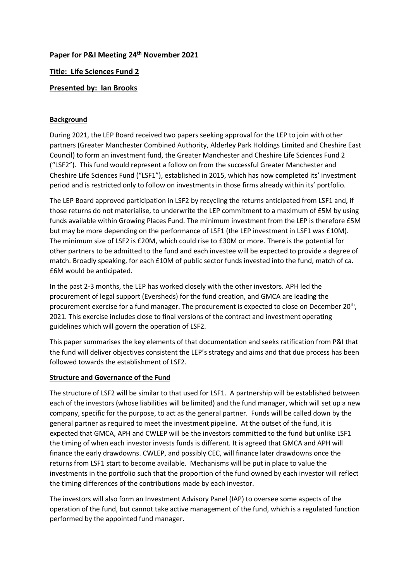# **Paper for P&I Meeting 24 th November 2021**

# **Title: Life Sciences Fund 2**

# **Presented by: Ian Brooks**

## **Background**

During 2021, the LEP Board received two papers seeking approval for the LEP to join with other partners (Greater Manchester Combined Authority, Alderley Park Holdings Limited and Cheshire East Council) to form an investment fund, the Greater Manchester and Cheshire Life Sciences Fund 2 ("LSF2"). This fund would represent a follow on from the successful Greater Manchester and Cheshire Life Sciences Fund ("LSF1"), established in 2015, which has now completed its' investment period and is restricted only to follow on investments in those firms already within its' portfolio.

The LEP Board approved participation in LSF2 by recycling the returns anticipated from LSF1 and, if those returns do not materialise, to underwrite the LEP commitment to a maximum of £5M by using funds available within Growing Places Fund. The minimum investment from the LEP is therefore £5M but may be more depending on the performance of LSF1 (the LEP investment in LSF1 was £10M). The minimum size of LSF2 is £20M, which could rise to £30M or more. There is the potential for other partners to be admitted to the fund and each investee will be expected to provide a degree of match. Broadly speaking, for each £10M of public sector funds invested into the fund, match of ca. £6M would be anticipated.

In the past 2-3 months, the LEP has worked closely with the other investors. APH led the procurement of legal support (Eversheds) for the fund creation, and GMCA are leading the procurement exercise for a fund manager. The procurement is expected to close on December 20<sup>th</sup>, 2021. This exercise includes close to final versions of the contract and investment operating guidelines which will govern the operation of LSF2.

This paper summarises the key elements of that documentation and seeks ratification from P&I that the fund will deliver objectives consistent the LEP's strategy and aims and that due process has been followed towards the establishment of LSF2.

## **Structure and Governance of the Fund**

The structure of LSF2 will be similar to that used for LSF1. A partnership will be established between each of the investors (whose liabilities will be limited) and the fund manager, which will set up a new company, specific for the purpose, to act as the general partner. Funds will be called down by the general partner as required to meet the investment pipeline. At the outset of the fund, it is expected that GMCA, APH and CWLEP will be the investors committed to the fund but unlike LSF1 the timing of when each investor invests funds is different. It is agreed that GMCA and APH will finance the early drawdowns. CWLEP, and possibly CEC, will finance later drawdowns once the returns from LSF1 start to become available. Mechanisms will be put in place to value the investments in the portfolio such that the proportion of the fund owned by each investor will reflect the timing differences of the contributions made by each investor.

The investors will also form an Investment Advisory Panel (IAP) to oversee some aspects of the operation of the fund, but cannot take active management of the fund, which is a regulated function performed by the appointed fund manager.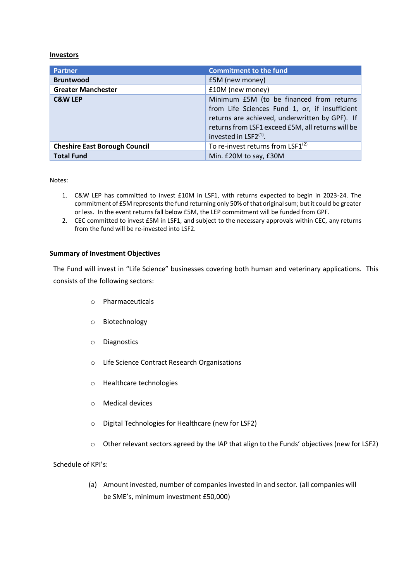#### **Investors**

| <b>Partner</b>                       | <b>Commitment to the fund</b>                                                                                                                                                                                                   |
|--------------------------------------|---------------------------------------------------------------------------------------------------------------------------------------------------------------------------------------------------------------------------------|
| <b>Bruntwood</b>                     | £5M (new money)                                                                                                                                                                                                                 |
| <b>Greater Manchester</b>            | £10M (new money)                                                                                                                                                                                                                |
| <b>C&amp;W LEP</b>                   | Minimum £5M (to be financed from returns<br>from Life Sciences Fund 1, or, if insufficient<br>returns are achieved, underwritten by GPF). If<br>returns from LSF1 exceed £5M, all returns will be<br>invested in $LSF2^{(1)}$ . |
| <b>Cheshire East Borough Council</b> | To re-invest returns from LSF $1^{(2)}$                                                                                                                                                                                         |
| <b>Total Fund</b>                    | Min. £20M to say, £30M                                                                                                                                                                                                          |

Notes:

- 1. C&W LEP has committed to invest £10M in LSF1, with returns expected to begin in 2023-24. The commitment of £5M represents the fund returning only 50% of that original sum; but it could be greater or less. In the event returns fall below £5M, the LEP commitment will be funded from GPF.
- 2. CEC committed to invest £5M in LSF1, and subject to the necessary approvals within CEC, any returns from the fund will be re-invested into LSF2.

### **Summary of Investment Objectives**

The Fund will invest in "Life Science" businesses covering both human and veterinary applications. This consists of the following sectors:

- o Pharmaceuticals
- o Biotechnology
- o Diagnostics
- o Life Science Contract Research Organisations
- o Healthcare technologies
- o Medical devices
- o Digital Technologies for Healthcare (new for LSF2)
- $\circ$  Other relevant sectors agreed by the IAP that align to the Funds' objectives (new for LSF2)

#### Schedule of KPI's:

(a) Amount invested, number of companies invested in and sector. (all companies will be SME's, minimum investment £50,000)